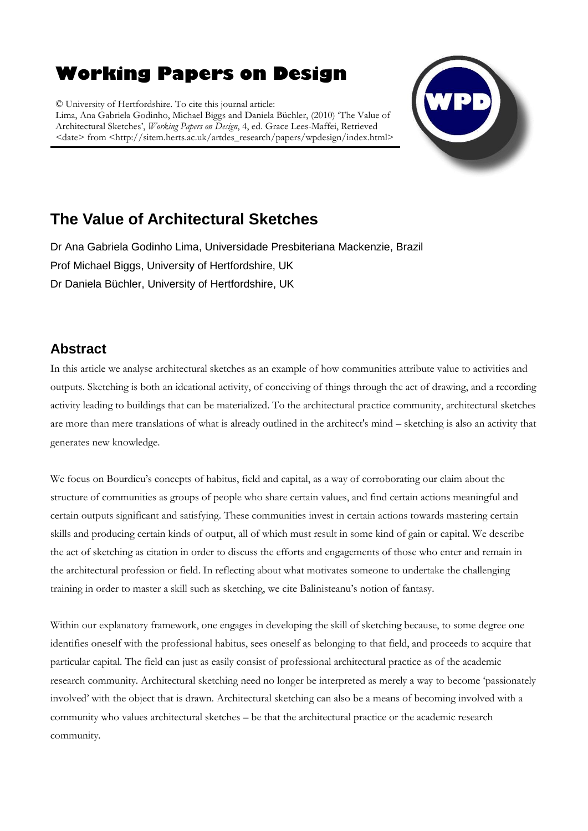# **Working Papers on Design**

© University of Hertfordshire. To cite this journal article: Lima, Ana Gabriela Godinho, Michael Biggs and Daniela Büchler, (2010) "The Value of Architectural Sketches", *Working Papers on Design*, 4, ed. Grace Lees-Maffei, Retrieved <date> from <http://sitem.herts.ac.uk/artdes\_research/papers/wpdesign/index.html>



## **The Value of Architectural Sketches**

Dr Ana Gabriela Godinho Lima, Universidade Presbiteriana Mackenzie, Brazil Prof Michael Biggs, University of Hertfordshire, UK Dr Daniela Büchler, University of Hertfordshire, UK

## **Abstract**

In this article we analyse architectural sketches as an example of how communities attribute value to activities and outputs. Sketching is both an ideational activity, of conceiving of things through the act of drawing, and a recording activity leading to buildings that can be materialized. To the architectural practice community, architectural sketches are more than mere translations of what is already outlined in the architect's mind – sketching is also an activity that generates new knowledge.

We focus on Bourdieu's concepts of habitus, field and capital, as a way of corroborating our claim about the structure of communities as groups of people who share certain values, and find certain actions meaningful and certain outputs significant and satisfying. These communities invest in certain actions towards mastering certain skills and producing certain kinds of output, all of which must result in some kind of gain or capital. We describe the act of sketching as citation in order to discuss the efforts and engagements of those who enter and remain in the architectural profession or field. In reflecting about what motivates someone to undertake the challenging training in order to master a skill such as sketching, we cite Balinisteanu"s notion of fantasy.

Within our explanatory framework, one engages in developing the skill of sketching because, to some degree one identifies oneself with the professional habitus, sees oneself as belonging to that field, and proceeds to acquire that particular capital. The field can just as easily consist of professional architectural practice as of the academic research community. Architectural sketching need no longer be interpreted as merely a way to become "passionately involved" with the object that is drawn. Architectural sketching can also be a means of becoming involved with a community who values architectural sketches – be that the architectural practice or the academic research community.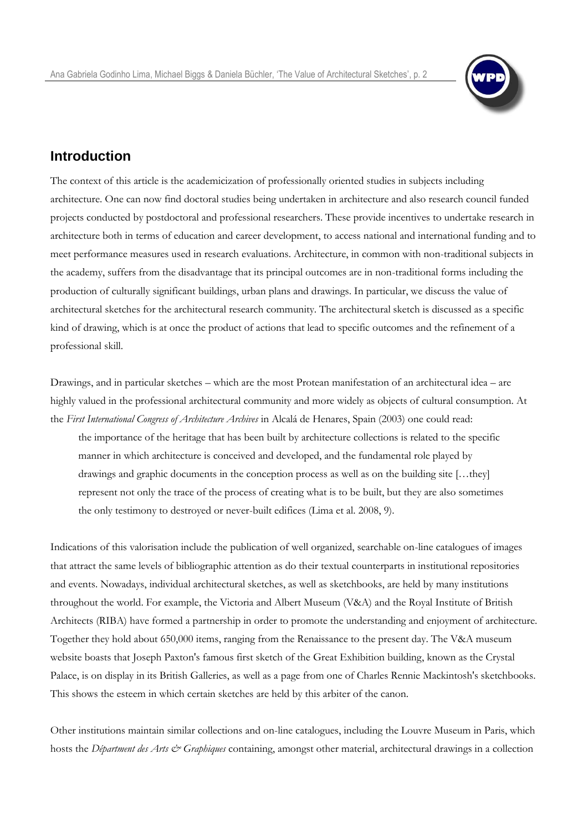

#### **Introduction**

The context of this article is the academicization of professionally oriented studies in subjects including architecture. One can now find doctoral studies being undertaken in architecture and also research council funded projects conducted by postdoctoral and professional researchers. These provide incentives to undertake research in architecture both in terms of education and career development, to access national and international funding and to meet performance measures used in research evaluations. Architecture, in common with non-traditional subjects in the academy, suffers from the disadvantage that its principal outcomes are in non-traditional forms including the production of culturally significant buildings, urban plans and drawings. In particular, we discuss the value of architectural sketches for the architectural research community. The architectural sketch is discussed as a specific kind of drawing, which is at once the product of actions that lead to specific outcomes and the refinement of a professional skill.

Drawings, and in particular sketches – which are the most Protean manifestation of an architectural idea – are highly valued in the professional architectural community and more widely as objects of cultural consumption. At the *First International Congress of Architecture Archives* in Alcalá de Henares, Spain (2003) one could read: the importance of the heritage that has been built by architecture collections is related to the specific manner in which architecture is conceived and developed, and the fundamental role played by drawings and graphic documents in the conception process as well as on the building site […they] represent not only the trace of the process of creating what is to be built, but they are also sometimes the only testimony to destroyed or never-built edifices (Lima et al. 2008, 9).

Indications of this valorisation include the publication of well organized, searchable on-line catalogues of images that attract the same levels of bibliographic attention as do their textual counterparts in institutional repositories and events. Nowadays, individual architectural sketches, as well as sketchbooks, are held by many institutions throughout the world. For example, the Victoria and Albert Museum (V&A) and the Royal Institute of British Architects (RIBA) have formed a partnership in order to promote the understanding and enjoyment of architecture. Together they hold about 650,000 items, ranging from the Renaissance to the present day. The V&A museum website boasts that Joseph Paxton's famous first sketch of the Great Exhibition building, known as the Crystal Palace, is on display in its British Galleries, as well as a page from one of Charles Rennie Mackintosh's sketchbooks. This shows the esteem in which certain sketches are held by this arbiter of the canon.

Other institutions maintain similar collections and on-line catalogues, including the Louvre Museum in Paris, which hosts the *Départment des Arts & Graphiques* containing, amongst other material, architectural drawings in a collection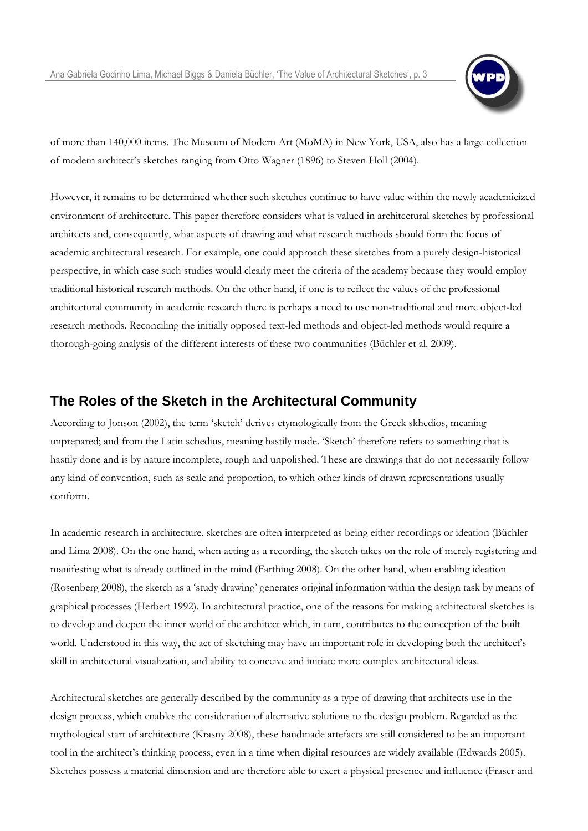

of more than 140,000 items. The Museum of Modern Art (MoMA) in New York, USA, also has a large collection of modern architect's sketches ranging from Otto Wagner (1896) to Steven Holl (2004).

However, it remains to be determined whether such sketches continue to have value within the newly academicized environment of architecture. This paper therefore considers what is valued in architectural sketches by professional architects and, consequently, what aspects of drawing and what research methods should form the focus of academic architectural research. For example, one could approach these sketches from a purely design-historical perspective, in which case such studies would clearly meet the criteria of the academy because they would employ traditional historical research methods. On the other hand, if one is to reflect the values of the professional architectural community in academic research there is perhaps a need to use non-traditional and more object-led research methods. Reconciling the initially opposed text-led methods and object-led methods would require a thorough-going analysis of the different interests of these two communities (Büchler et al. 2009).

#### **The Roles of the Sketch in the Architectural Community**

According to Jonson (2002), the term "sketch" derives etymologically from the Greek skhedios, meaning unprepared; and from the Latin schedius, meaning hastily made. "Sketch" therefore refers to something that is hastily done and is by nature incomplete, rough and unpolished. These are drawings that do not necessarily follow any kind of convention, such as scale and proportion, to which other kinds of drawn representations usually conform.

In academic research in architecture, sketches are often interpreted as being either recordings or ideation (Büchler and Lima 2008). On the one hand, when acting as a recording, the sketch takes on the role of merely registering and manifesting what is already outlined in the mind (Farthing 2008). On the other hand, when enabling ideation (Rosenberg 2008), the sketch as a "study drawing" generates original information within the design task by means of graphical processes (Herbert 1992). In architectural practice, one of the reasons for making architectural sketches is to develop and deepen the inner world of the architect which, in turn, contributes to the conception of the built world. Understood in this way, the act of sketching may have an important role in developing both the architect's skill in architectural visualization, and ability to conceive and initiate more complex architectural ideas.

Architectural sketches are generally described by the community as a type of drawing that architects use in the design process, which enables the consideration of alternative solutions to the design problem. Regarded as the mythological start of architecture (Krasny 2008), these handmade artefacts are still considered to be an important tool in the architect"s thinking process, even in a time when digital resources are widely available (Edwards 2005). Sketches possess a material dimension and are therefore able to exert a physical presence and influence (Fraser and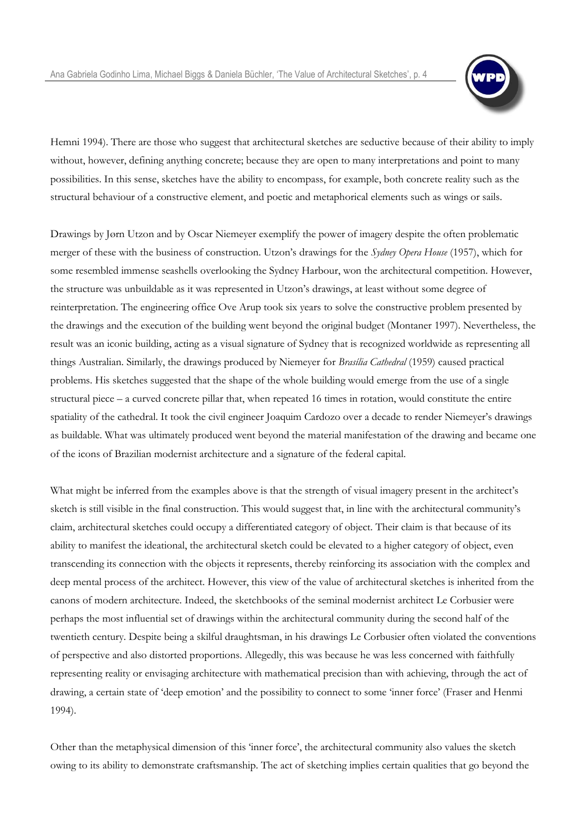

Hemni 1994). There are those who suggest that architectural sketches are seductive because of their ability to imply without, however, defining anything concrete; because they are open to many interpretations and point to many possibilities. In this sense, sketches have the ability to encompass, for example, both concrete reality such as the structural behaviour of a constructive element, and poetic and metaphorical elements such as wings or sails.

Drawings by Jørn Utzon and by Oscar Niemeyer exemplify the power of imagery despite the often problematic merger of these with the business of construction. Utzon"s drawings for the *Sydney Opera House* (1957), which for some resembled immense seashells overlooking the Sydney Harbour, won the architectural competition. However, the structure was unbuildable as it was represented in Utzon's drawings, at least without some degree of reinterpretation. The engineering office Ove Arup took six years to solve the constructive problem presented by the drawings and the execution of the building went beyond the original budget (Montaner 1997). Nevertheless, the result was an iconic building, acting as a visual signature of Sydney that is recognized worldwide as representing all things Australian. Similarly, the drawings produced by Niemeyer for *Brasília Cathedral* (1959) caused practical problems. His sketches suggested that the shape of the whole building would emerge from the use of a single structural piece – a curved concrete pillar that, when repeated 16 times in rotation, would constitute the entire spatiality of the cathedral. It took the civil engineer Joaquim Cardozo over a decade to render Niemeyer's drawings as buildable. What was ultimately produced went beyond the material manifestation of the drawing and became one of the icons of Brazilian modernist architecture and a signature of the federal capital.

What might be inferred from the examples above is that the strength of visual imagery present in the architect's sketch is still visible in the final construction. This would suggest that, in line with the architectural community"s claim, architectural sketches could occupy a differentiated category of object. Their claim is that because of its ability to manifest the ideational, the architectural sketch could be elevated to a higher category of object, even transcending its connection with the objects it represents, thereby reinforcing its association with the complex and deep mental process of the architect. However, this view of the value of architectural sketches is inherited from the canons of modern architecture. Indeed, the sketchbooks of the seminal modernist architect Le Corbusier were perhaps the most influential set of drawings within the architectural community during the second half of the twentieth century. Despite being a skilful draughtsman, in his drawings Le Corbusier often violated the conventions of perspective and also distorted proportions. Allegedly, this was because he was less concerned with faithfully representing reality or envisaging architecture with mathematical precision than with achieving, through the act of drawing, a certain state of "deep emotion" and the possibility to connect to some "inner force" (Fraser and Henmi 1994).

Other than the metaphysical dimension of this "inner force", the architectural community also values the sketch owing to its ability to demonstrate craftsmanship. The act of sketching implies certain qualities that go beyond the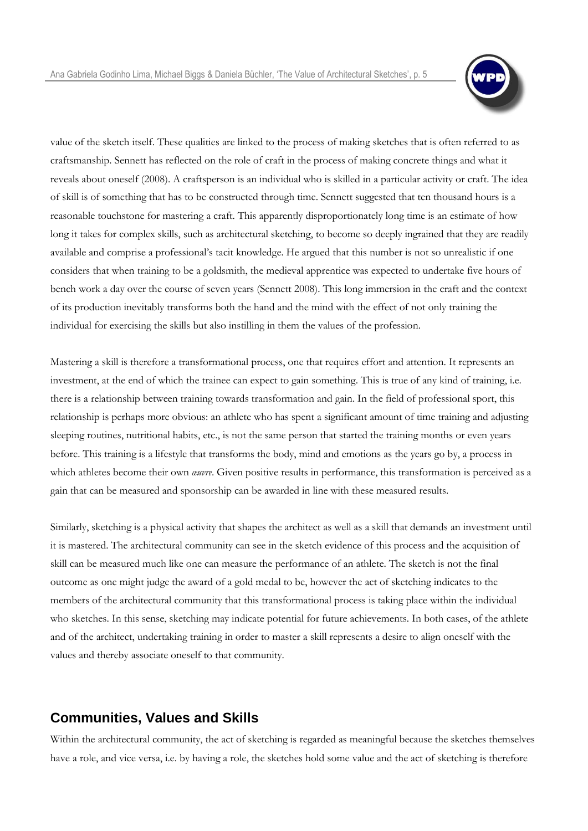

value of the sketch itself. These qualities are linked to the process of making sketches that is often referred to as craftsmanship. Sennett has reflected on the role of craft in the process of making concrete things and what it reveals about oneself (2008). A craftsperson is an individual who is skilled in a particular activity or craft. The idea of skill is of something that has to be constructed through time. Sennett suggested that ten thousand hours is a reasonable touchstone for mastering a craft. This apparently disproportionately long time is an estimate of how long it takes for complex skills, such as architectural sketching, to become so deeply ingrained that they are readily available and comprise a professional"s tacit knowledge. He argued that this number is not so unrealistic if one considers that when training to be a goldsmith, the medieval apprentice was expected to undertake five hours of bench work a day over the course of seven years (Sennett 2008). This long immersion in the craft and the context of its production inevitably transforms both the hand and the mind with the effect of not only training the individual for exercising the skills but also instilling in them the values of the profession.

Mastering a skill is therefore a transformational process, one that requires effort and attention. It represents an investment, at the end of which the trainee can expect to gain something. This is true of any kind of training, i.e. there is a relationship between training towards transformation and gain. In the field of professional sport, this relationship is perhaps more obvious: an athlete who has spent a significant amount of time training and adjusting sleeping routines, nutritional habits, etc., is not the same person that started the training months or even years before. This training is a lifestyle that transforms the body, mind and emotions as the years go by, a process in which athletes become their own *œuvre*. Given positive results in performance, this transformation is perceived as a gain that can be measured and sponsorship can be awarded in line with these measured results.

Similarly, sketching is a physical activity that shapes the architect as well as a skill that demands an investment until it is mastered. The architectural community can see in the sketch evidence of this process and the acquisition of skill can be measured much like one can measure the performance of an athlete. The sketch is not the final outcome as one might judge the award of a gold medal to be, however the act of sketching indicates to the members of the architectural community that this transformational process is taking place within the individual who sketches. In this sense, sketching may indicate potential for future achievements. In both cases, of the athlete and of the architect, undertaking training in order to master a skill represents a desire to align oneself with the values and thereby associate oneself to that community.

## **Communities, Values and Skills**

Within the architectural community, the act of sketching is regarded as meaningful because the sketches themselves have a role, and vice versa, i.e. by having a role, the sketches hold some value and the act of sketching is therefore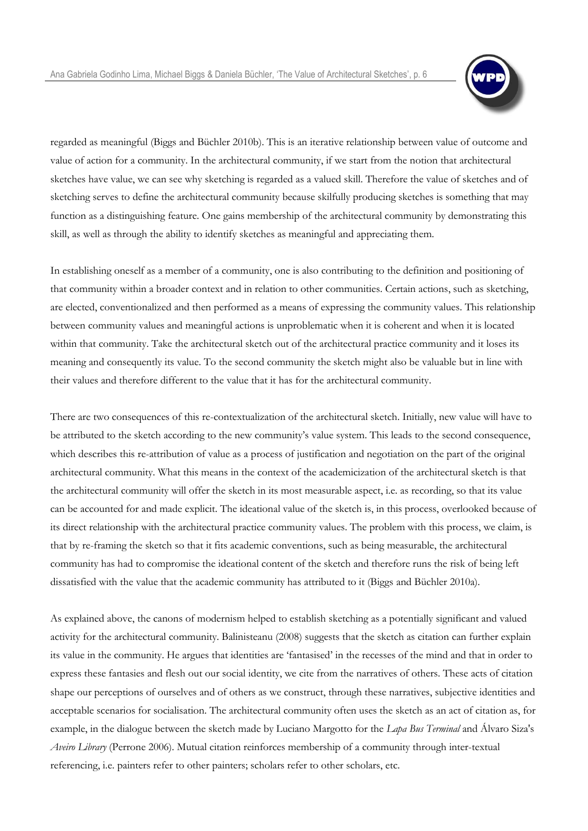

regarded as meaningful (Biggs and Büchler 2010b). This is an iterative relationship between value of outcome and value of action for a community. In the architectural community, if we start from the notion that architectural sketches have value, we can see why sketching is regarded as a valued skill. Therefore the value of sketches and of sketching serves to define the architectural community because skilfully producing sketches is something that may function as a distinguishing feature. One gains membership of the architectural community by demonstrating this skill, as well as through the ability to identify sketches as meaningful and appreciating them.

In establishing oneself as a member of a community, one is also contributing to the definition and positioning of that community within a broader context and in relation to other communities. Certain actions, such as sketching, are elected, conventionalized and then performed as a means of expressing the community values. This relationship between community values and meaningful actions is unproblematic when it is coherent and when it is located within that community. Take the architectural sketch out of the architectural practice community and it loses its meaning and consequently its value. To the second community the sketch might also be valuable but in line with their values and therefore different to the value that it has for the architectural community.

There are two consequences of this re-contextualization of the architectural sketch. Initially, new value will have to be attributed to the sketch according to the new community"s value system. This leads to the second consequence, which describes this re-attribution of value as a process of justification and negotiation on the part of the original architectural community. What this means in the context of the academicization of the architectural sketch is that the architectural community will offer the sketch in its most measurable aspect, i.e. as recording, so that its value can be accounted for and made explicit. The ideational value of the sketch is, in this process, overlooked because of its direct relationship with the architectural practice community values. The problem with this process, we claim, is that by re-framing the sketch so that it fits academic conventions, such as being measurable, the architectural community has had to compromise the ideational content of the sketch and therefore runs the risk of being left dissatisfied with the value that the academic community has attributed to it (Biggs and Büchler 2010a).

As explained above, the canons of modernism helped to establish sketching as a potentially significant and valued activity for the architectural community. Balinisteanu (2008) suggests that the sketch as citation can further explain its value in the community. He argues that identities are "fantasised" in the recesses of the mind and that in order to express these fantasies and flesh out our social identity, we cite from the narratives of others. These acts of citation shape our perceptions of ourselves and of others as we construct, through these narratives, subjective identities and acceptable scenarios for socialisation. The architectural community often uses the sketch as an act of citation as, for example, in the dialogue between the sketch made by Luciano Margotto for the *Lapa Bus Terminal* and Álvaro Siza's *Aveiro Library* (Perrone 2006). Mutual citation reinforces membership of a community through inter-textual referencing, i.e. painters refer to other painters; scholars refer to other scholars, etc.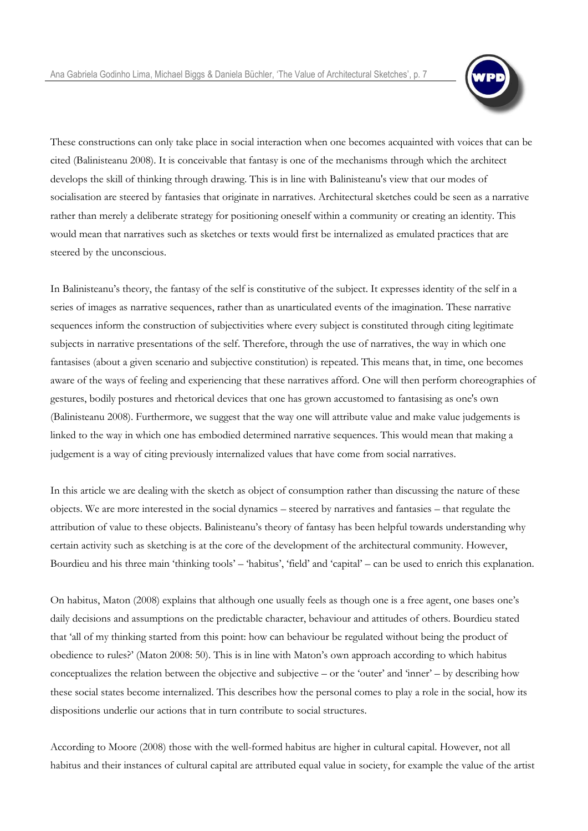

These constructions can only take place in social interaction when one becomes acquainted with voices that can be cited (Balinisteanu 2008). It is conceivable that fantasy is one of the mechanisms through which the architect develops the skill of thinking through drawing. This is in line with Balinisteanu's view that our modes of socialisation are steered by fantasies that originate in narratives. Architectural sketches could be seen as a narrative rather than merely a deliberate strategy for positioning oneself within a community or creating an identity. This would mean that narratives such as sketches or texts would first be internalized as emulated practices that are steered by the unconscious.

In Balinisteanu's theory, the fantasy of the self is constitutive of the subject. It expresses identity of the self in a series of images as narrative sequences, rather than as unarticulated events of the imagination. These narrative sequences inform the construction of subjectivities where every subject is constituted through citing legitimate subjects in narrative presentations of the self. Therefore, through the use of narratives, the way in which one fantasises (about a given scenario and subjective constitution) is repeated. This means that, in time, one becomes aware of the ways of feeling and experiencing that these narratives afford. One will then perform choreographies of gestures, bodily postures and rhetorical devices that one has grown accustomed to fantasising as one's own (Balinisteanu 2008). Furthermore, we suggest that the way one will attribute value and make value judgements is linked to the way in which one has embodied determined narrative sequences. This would mean that making a judgement is a way of citing previously internalized values that have come from social narratives.

In this article we are dealing with the sketch as object of consumption rather than discussing the nature of these objects. We are more interested in the social dynamics – steered by narratives and fantasies – that regulate the attribution of value to these objects. Balinisteanu"s theory of fantasy has been helpful towards understanding why certain activity such as sketching is at the core of the development of the architectural community. However, Bourdieu and his three main 'thinking tools' – 'habitus', 'field' and 'capital' – can be used to enrich this explanation.

On habitus, Maton (2008) explains that although one usually feels as though one is a free agent, one bases one"s daily decisions and assumptions on the predictable character, behaviour and attitudes of others. Bourdieu stated that "all of my thinking started from this point: how can behaviour be regulated without being the product of obedience to rules?' (Maton 2008: 50). This is in line with Maton's own approach according to which habitus conceptualizes the relation between the objective and subjective – or the 'outer' and 'inner' – by describing how these social states become internalized. This describes how the personal comes to play a role in the social, how its dispositions underlie our actions that in turn contribute to social structures.

According to Moore (2008) those with the well-formed habitus are higher in cultural capital. However, not all habitus and their instances of cultural capital are attributed equal value in society, for example the value of the artist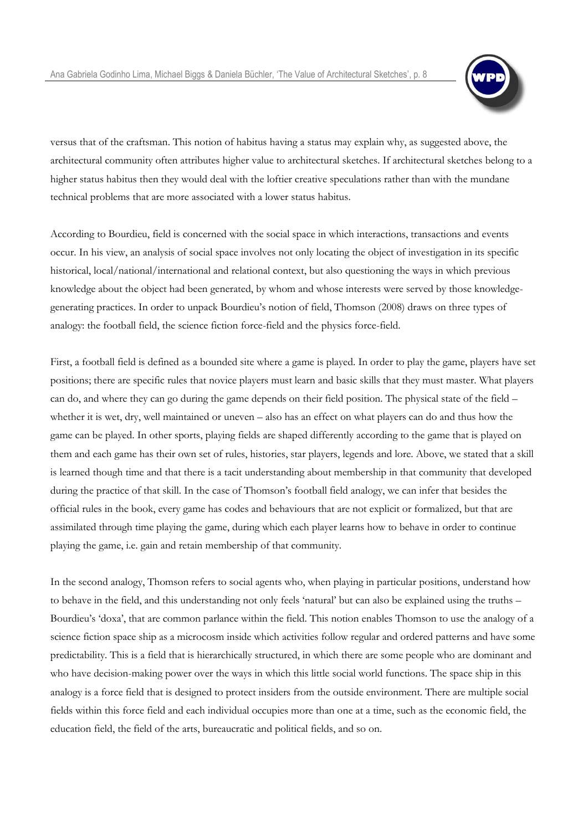

versus that of the craftsman. This notion of habitus having a status may explain why, as suggested above, the architectural community often attributes higher value to architectural sketches. If architectural sketches belong to a higher status habitus then they would deal with the loftier creative speculations rather than with the mundane technical problems that are more associated with a lower status habitus.

According to Bourdieu, field is concerned with the social space in which interactions, transactions and events occur. In his view, an analysis of social space involves not only locating the object of investigation in its specific historical, local/national/international and relational context, but also questioning the ways in which previous knowledge about the object had been generated, by whom and whose interests were served by those knowledgegenerating practices. In order to unpack Bourdieu"s notion of field, Thomson (2008) draws on three types of analogy: the football field, the science fiction force-field and the physics force-field.

First, a football field is defined as a bounded site where a game is played. In order to play the game, players have set positions; there are specific rules that novice players must learn and basic skills that they must master. What players can do, and where they can go during the game depends on their field position. The physical state of the field – whether it is wet, dry, well maintained or uneven – also has an effect on what players can do and thus how the game can be played. In other sports, playing fields are shaped differently according to the game that is played on them and each game has their own set of rules, histories, star players, legends and lore. Above, we stated that a skill is learned though time and that there is a tacit understanding about membership in that community that developed during the practice of that skill. In the case of Thomson's football field analogy, we can infer that besides the official rules in the book, every game has codes and behaviours that are not explicit or formalized, but that are assimilated through time playing the game, during which each player learns how to behave in order to continue playing the game, i.e. gain and retain membership of that community.

In the second analogy, Thomson refers to social agents who, when playing in particular positions, understand how to behave in the field, and this understanding not only feels "natural" but can also be explained using the truths – Bourdieu"s "doxa", that are common parlance within the field. This notion enables Thomson to use the analogy of a science fiction space ship as a microcosm inside which activities follow regular and ordered patterns and have some predictability. This is a field that is hierarchically structured, in which there are some people who are dominant and who have decision-making power over the ways in which this little social world functions. The space ship in this analogy is a force field that is designed to protect insiders from the outside environment. There are multiple social fields within this force field and each individual occupies more than one at a time, such as the economic field, the education field, the field of the arts, bureaucratic and political fields, and so on.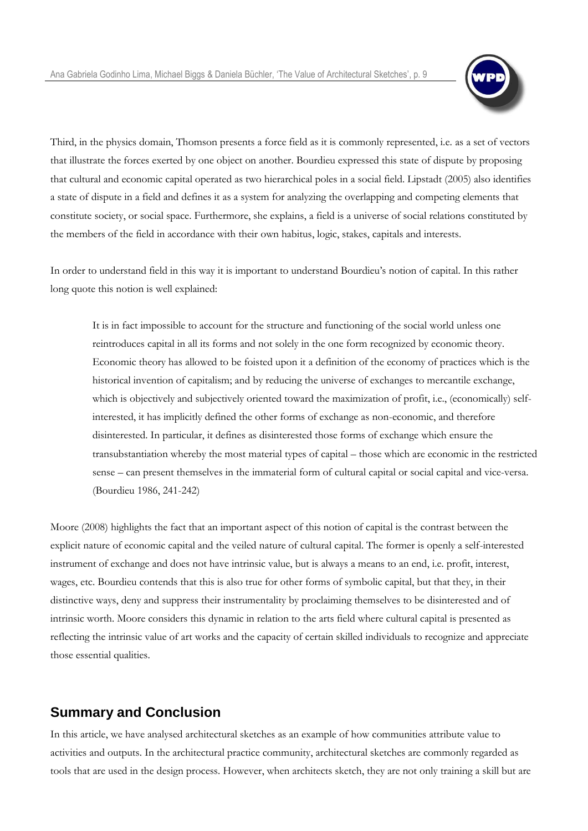

Third, in the physics domain, Thomson presents a force field as it is commonly represented, i.e. as a set of vectors that illustrate the forces exerted by one object on another. Bourdieu expressed this state of dispute by proposing that cultural and economic capital operated as two hierarchical poles in a social field. Lipstadt (2005) also identifies a state of dispute in a field and defines it as a system for analyzing the overlapping and competing elements that constitute society, or social space. Furthermore, she explains, a field is a universe of social relations constituted by the members of the field in accordance with their own habitus, logic, stakes, capitals and interests.

In order to understand field in this way it is important to understand Bourdieu"s notion of capital. In this rather long quote this notion is well explained:

It is in fact impossible to account for the structure and functioning of the social world unless one reintroduces capital in all its forms and not solely in the one form recognized by economic theory. Economic theory has allowed to be foisted upon it a definition of the economy of practices which is the historical invention of capitalism; and by reducing the universe of exchanges to mercantile exchange, which is objectively and subjectively oriented toward the maximization of profit, i.e., (economically) selfinterested, it has implicitly defined the other forms of exchange as non-economic, and therefore disinterested. In particular, it defines as disinterested those forms of exchange which ensure the transubstantiation whereby the most material types of capital – those which are economic in the restricted sense – can present themselves in the immaterial form of cultural capital or social capital and vice-versa. (Bourdieu 1986, 241-242)

Moore (2008) highlights the fact that an important aspect of this notion of capital is the contrast between the explicit nature of economic capital and the veiled nature of cultural capital. The former is openly a self-interested instrument of exchange and does not have intrinsic value, but is always a means to an end, i.e. profit, interest, wages, etc. Bourdieu contends that this is also true for other forms of symbolic capital, but that they, in their distinctive ways, deny and suppress their instrumentality by proclaiming themselves to be disinterested and of intrinsic worth. Moore considers this dynamic in relation to the arts field where cultural capital is presented as reflecting the intrinsic value of art works and the capacity of certain skilled individuals to recognize and appreciate those essential qualities.

## **Summary and Conclusion**

In this article, we have analysed architectural sketches as an example of how communities attribute value to activities and outputs. In the architectural practice community, architectural sketches are commonly regarded as tools that are used in the design process. However, when architects sketch, they are not only training a skill but are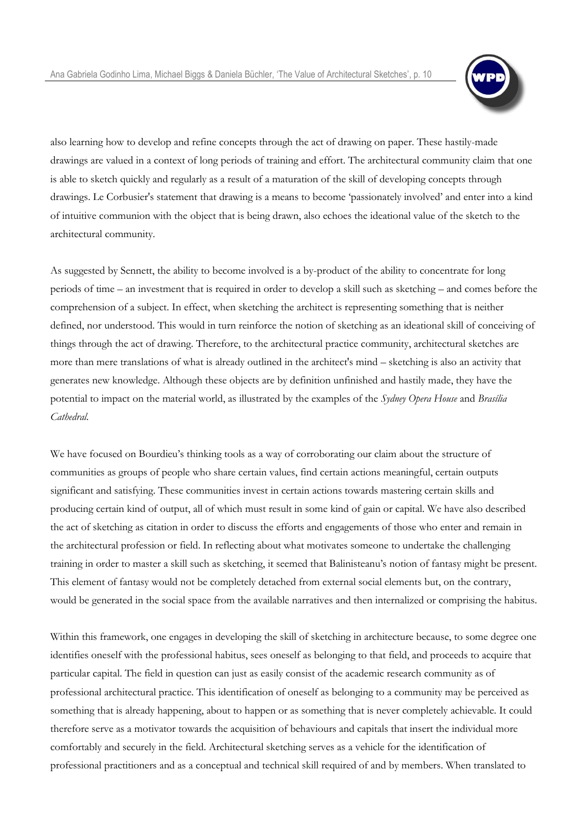

also learning how to develop and refine concepts through the act of drawing on paper. These hastily-made drawings are valued in a context of long periods of training and effort. The architectural community claim that one is able to sketch quickly and regularly as a result of a maturation of the skill of developing concepts through drawings. Le Corbusier's statement that drawing is a means to become "passionately involved" and enter into a kind of intuitive communion with the object that is being drawn, also echoes the ideational value of the sketch to the architectural community.

As suggested by Sennett, the ability to become involved is a by-product of the ability to concentrate for long periods of time – an investment that is required in order to develop a skill such as sketching – and comes before the comprehension of a subject. In effect, when sketching the architect is representing something that is neither defined, nor understood. This would in turn reinforce the notion of sketching as an ideational skill of conceiving of things through the act of drawing. Therefore, to the architectural practice community, architectural sketches are more than mere translations of what is already outlined in the architect's mind – sketching is also an activity that generates new knowledge. Although these objects are by definition unfinished and hastily made, they have the potential to impact on the material world, as illustrated by the examples of the *Sydney Opera House* and *Brasília Cathedral.*

We have focused on Bourdieu's thinking tools as a way of corroborating our claim about the structure of communities as groups of people who share certain values, find certain actions meaningful, certain outputs significant and satisfying. These communities invest in certain actions towards mastering certain skills and producing certain kind of output, all of which must result in some kind of gain or capital. We have also described the act of sketching as citation in order to discuss the efforts and engagements of those who enter and remain in the architectural profession or field. In reflecting about what motivates someone to undertake the challenging training in order to master a skill such as sketching, it seemed that Balinisteanu"s notion of fantasy might be present. This element of fantasy would not be completely detached from external social elements but, on the contrary, would be generated in the social space from the available narratives and then internalized or comprising the habitus.

Within this framework, one engages in developing the skill of sketching in architecture because, to some degree one identifies oneself with the professional habitus, sees oneself as belonging to that field, and proceeds to acquire that particular capital. The field in question can just as easily consist of the academic research community as of professional architectural practice. This identification of oneself as belonging to a community may be perceived as something that is already happening, about to happen or as something that is never completely achievable. It could therefore serve as a motivator towards the acquisition of behaviours and capitals that insert the individual more comfortably and securely in the field. Architectural sketching serves as a vehicle for the identification of professional practitioners and as a conceptual and technical skill required of and by members. When translated to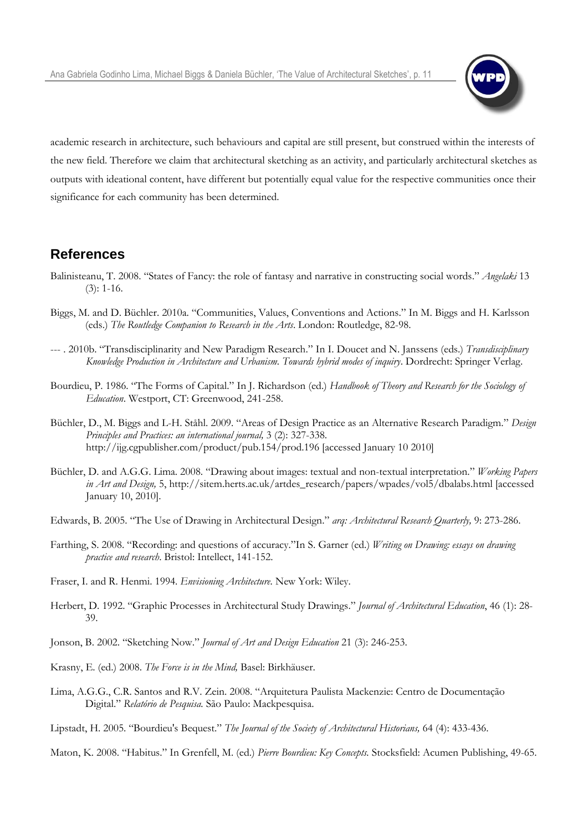

academic research in architecture, such behaviours and capital are still present, but construed within the interests of the new field. Therefore we claim that architectural sketching as an activity, and particularly architectural sketches as outputs with ideational content, have different but potentially equal value for the respective communities once their significance for each community has been determined.

#### **References**

- Balinisteanu, T. 2008. "States of Fancy: the role of fantasy and narrative in constructing social words." *Angelaki* 13 (3): 1-16.
- Biggs, M. and D. Büchler. 2010a. "Communities, Values, Conventions and Actions." In M. Biggs and H. Karlsson (eds.) *The Routledge Companion to Research in the Arts*. London: Routledge, 82-98.
- --- . 2010b. "Transdisciplinarity and New Paradigm Research." In I. Doucet and N. Janssens (eds.) *Transdisciplinary Knowledge Production in Architecture and Urbanism. Towards hybrid modes of inquiry*. Dordrecht: Springer Verlag.
- Bourdieu, P. 1986. "The Forms of Capital." In J. Richardson (ed.) *Handbook of Theory and Research for the Sociology of Education*. Westport, CT: Greenwood, 241-258.
- Büchler, D., M. Biggs and L-H. Ståhl. 2009. "Areas of Design Practice as an Alternative Research Paradigm." *Design Principles and Practices: an international journal,* 3 (2): 327-338. http://ijg.cgpublisher.com/product/pub.154/prod.196 [accessed January 10 2010]
- Büchler, D. and A.G.G. Lima. 2008. "Drawing about images: textual and non-textual interpretation." *Working Papers in Art and Design,* 5, http://sitem.herts.ac.uk/artdes\_research/papers/wpades/vol5/dbalabs.html [accessed January 10, 2010].
- Edwards, B. 2005. "The Use of Drawing in Architectural Design." *arq: Architectural Research Quarterly,* 9: 273-286.
- Farthing, S. 2008. "Recording: and questions of accuracy."In S. Garner (ed.) *Writing on Drawing: essays on drawing practice and research*. Bristol: Intellect, 141-152.
- Fraser, I. and R. Henmi. 1994. *Envisioning Architecture.* New York: Wiley.
- Herbert, D. 1992. "Graphic Processes in Architectural Study Drawings." *Journal of Architectural Education*, 46 (1): 28- 39.
- Jonson, B. 2002. "Sketching Now." *Journal of Art and Design Education* 21 (3): 246-253.
- Krasny, E. (ed.) 2008. *The Force is in the Mind,* Basel: Birkhäuser.
- Lima, A.G.G., C.R. Santos and R.V. Zein. 2008. "Arquitetura Paulista Mackenzie: Centro de Documentação Digital." *Relatório de Pesquisa.* São Paulo: Mackpesquisa.
- Lipstadt, H. 2005. "Bourdieu's Bequest." *The Journal of the Society of Architectural Historians,* 64 (4): 433-436.

Maton, K. 2008. "Habitus." In Grenfell, M. (ed.) *Pierre Bourdieu: Key Concepts.* Stocksfield: Acumen Publishing, 49-65.